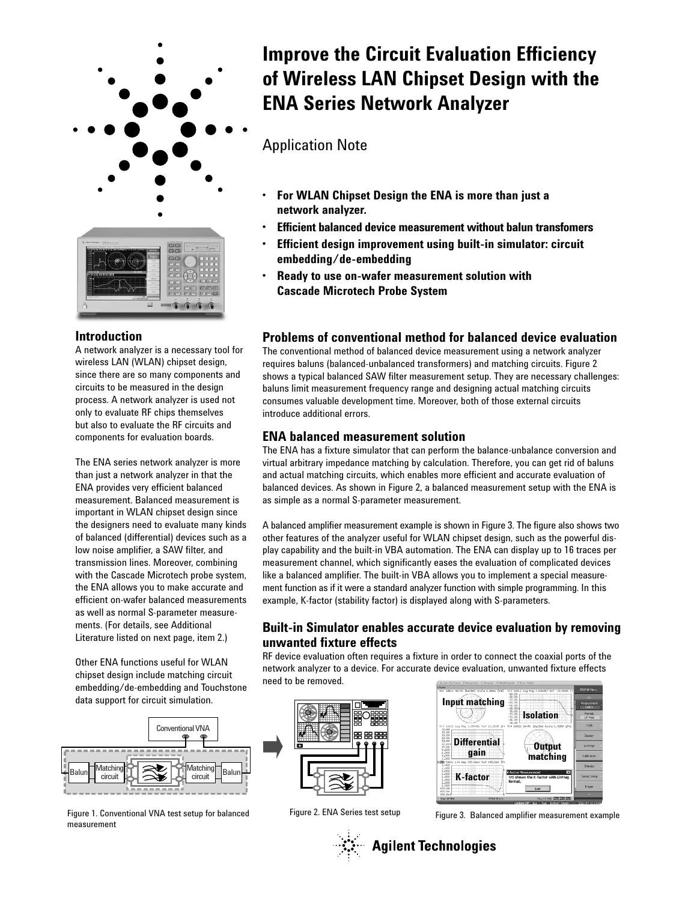

## **Introduction**

A network analyzer is a necessary tool for wireless LAN (WLAN) chipset design, since there are so many components and circuits to be measured in the design process. A network analyzer is used not only to evaluate RF chips themselves but also to evaluate the RF circuits and components for evaluation boards.

The ENA series network analyzer is more than just a network analyzer in that the ENA provides very efficient balanced measurement. Balanced measurement is important in WLAN chipset design since the designers need to evaluate many kinds of balanced (differential) devices such as a low noise amplifier, a SAW filter, and transmission lines. Moreover, combining with the Cascade Microtech probe system, the ENA allows you to make accurate and efficient on-wafer balanced measurements as well as normal S-parameter measurements. (For details, see Additional Literature listed on next page, item 2.)

Other ENA functions useful for WLAN chipset design include matching circuit embedding/de-embedding and Touchstone data support for circuit simulation.



Figure 1. Conventional VNA test setup for balanced measurement

# **Improve the Circuit Evaluation Efficiency of Wireless LAN Chipset Design with the ENA Series Network Analyzer**

Application Note

- **For WLAN Chipset Design the ENA is more than just a network analyzer.**
- **Efficient balanced device measurement without balun transfomers**
- **Efficient design improvement using built-in simulator: circuit embedding/de-embedding**
- **Ready to use on-wafer measurement solution with Cascade Microtech Probe System**

# **Problems of conventional method for balanced device evaluation**

The conventional method of balanced device measurement using a network analyzer requires baluns (balanced-unbalanced transformers) and matching circuits. Figure 2 shows a typical balanced SAW filter measurement setup. They are necessary challenges: baluns limit measurement frequency range and designing actual matching circuits consumes valuable development time. Moreover, both of those external circuits introduce additional errors.

# **ENA balanced measurement solution**

The ENA has a fixture simulator that can perform the balance-unbalance conversion and virtual arbitrary impedance matching by calculation. Therefore, you can get rid of baluns and actual matching circuits, which enables more efficient and accurate evaluation of balanced devices. As shown in Figure 2, a balanced measurement setup with the ENA is as simple as a normal S-parameter measurement.

A balanced amplifier measurement example is shown in Figure 3. The figure also shows two other features of the analyzer useful for WLAN chipset design, such as the powerful display capability and the built-in VBA automation. The ENA can display up to 16 traces per measurement channel, which significantly eases the evaluation of complicated devices like a balanced amplifier. The built-in VBA allows you to implement a special measurement function as if it were a standard analyzer function with simple programming. In this example, K-factor (stability factor) is displayed along with S-parameters.

# **Built-in Simulator enables accurate device evaluation by removing unwanted fixture effects**

RF device evaluation often requires a fixture in order to connect the coaxial ports of the network analyzer to a device. For accurate device evaluation, unwanted fixture effects need to be removed.









**Agilent Technologies**